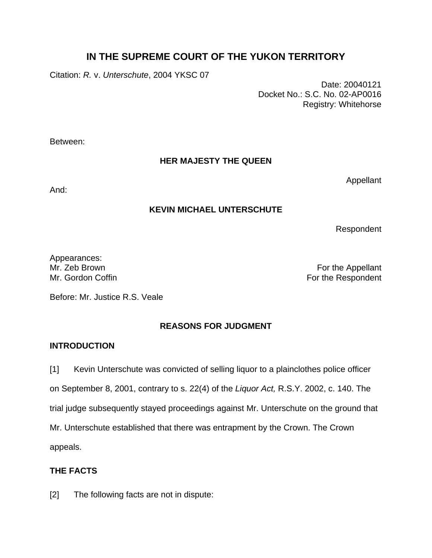# **IN THE SUPREME COURT OF THE YUKON TERRITORY**

Citation: *R.* v. *Unterschute*, 2004 YKSC 07

 Date: 20040121 Docket No.: S.C. No. 02-AP0016 Registry: Whitehorse

Between:

### **HER MAJESTY THE QUEEN**

And:

Appellant

### **KEVIN MICHAEL UNTERSCHUTE**

Respondent

Appearances:<br>Mr. Zeb Brown

For the Appellant Mr. Gordon Coffin **For the Respondent** 

Before: Mr. Justice R.S. Veale

# **REASONS FOR JUDGMENT**

# **INTRODUCTION**

[1] Kevin Unterschute was convicted of selling liquor to a plainclothes police officer on September 8, 2001, contrary to s. 22(4) of the *Liquor Act,* R.S.Y. 2002, c. 140. The trial judge subsequently stayed proceedings against Mr. Unterschute on the ground that Mr. Unterschute established that there was entrapment by the Crown. The Crown appeals.

# **THE FACTS**

[2] The following facts are not in dispute: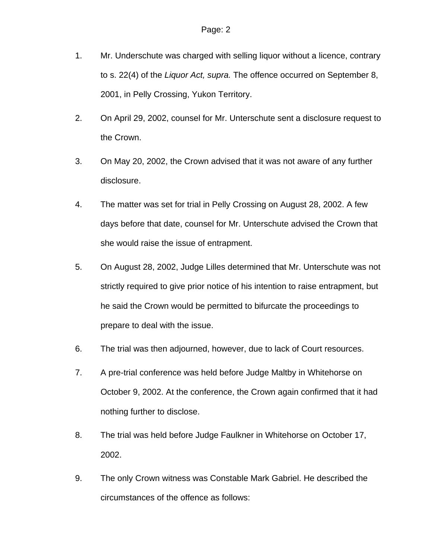- 1. Mr. Underschute was charged with selling liquor without a licence, contrary to s. 22(4) of the *Liquor Act, supra.* The offence occurred on September 8, 2001, in Pelly Crossing, Yukon Territory.
- 2. On April 29, 2002, counsel for Mr. Unterschute sent a disclosure request to the Crown.
- 3. On May 20, 2002, the Crown advised that it was not aware of any further disclosure.
- 4. The matter was set for trial in Pelly Crossing on August 28, 2002. A few days before that date, counsel for Mr. Unterschute advised the Crown that she would raise the issue of entrapment.
- 5. On August 28, 2002, Judge Lilles determined that Mr. Unterschute was not strictly required to give prior notice of his intention to raise entrapment, but he said the Crown would be permitted to bifurcate the proceedings to prepare to deal with the issue.
- 6. The trial was then adjourned, however, due to lack of Court resources.
- 7. A pre-trial conference was held before Judge Maltby in Whitehorse on October 9, 2002. At the conference, the Crown again confirmed that it had nothing further to disclose.
- 8. The trial was held before Judge Faulkner in Whitehorse on October 17, 2002.
- 9. The only Crown witness was Constable Mark Gabriel. He described the circumstances of the offence as follows: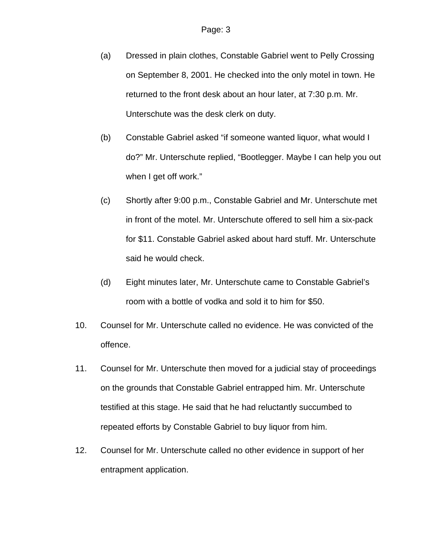- (a) Dressed in plain clothes, Constable Gabriel went to Pelly Crossing on September 8, 2001. He checked into the only motel in town. He returned to the front desk about an hour later, at 7:30 p.m. Mr. Unterschute was the desk clerk on duty.
- (b) Constable Gabriel asked "if someone wanted liquor, what would I do?" Mr. Unterschute replied, "Bootlegger. Maybe I can help you out when I get off work."
- (c) Shortly after 9:00 p.m., Constable Gabriel and Mr. Unterschute met in front of the motel. Mr. Unterschute offered to sell him a six-pack for \$11. Constable Gabriel asked about hard stuff. Mr. Unterschute said he would check.
- (d) Eight minutes later, Mr. Unterschute came to Constable Gabriel's room with a bottle of vodka and sold it to him for \$50.
- 10. Counsel for Mr. Unterschute called no evidence. He was convicted of the offence.
- 11. Counsel for Mr. Unterschute then moved for a judicial stay of proceedings on the grounds that Constable Gabriel entrapped him. Mr. Unterschute testified at this stage. He said that he had reluctantly succumbed to repeated efforts by Constable Gabriel to buy liquor from him.
- 12. Counsel for Mr. Unterschute called no other evidence in support of her entrapment application.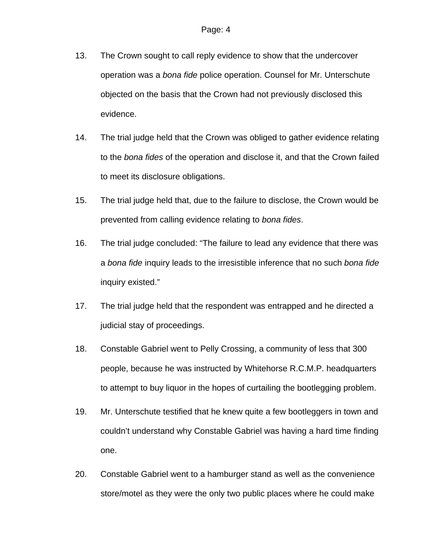- 13. The Crown sought to call reply evidence to show that the undercover operation was a *bona fide* police operation. Counsel for Mr. Unterschute objected on the basis that the Crown had not previously disclosed this evidence.
- 14. The trial judge held that the Crown was obliged to gather evidence relating to the *bona fides* of the operation and disclose it, and that the Crown failed to meet its disclosure obligations.
- 15. The trial judge held that, due to the failure to disclose, the Crown would be prevented from calling evidence relating to *bona fides*.
- 16. The trial judge concluded: "The failure to lead any evidence that there was a *bona fide* inquiry leads to the irresistible inference that no such *bona fide* inquiry existed."
- 17. The trial judge held that the respondent was entrapped and he directed a judicial stay of proceedings.
- 18. Constable Gabriel went to Pelly Crossing, a community of less that 300 people, because he was instructed by Whitehorse R.C.M.P. headquarters to attempt to buy liquor in the hopes of curtailing the bootlegging problem.
- 19. Mr. Unterschute testified that he knew quite a few bootleggers in town and couldn't understand why Constable Gabriel was having a hard time finding one.
- 20. Constable Gabriel went to a hamburger stand as well as the convenience store/motel as they were the only two public places where he could make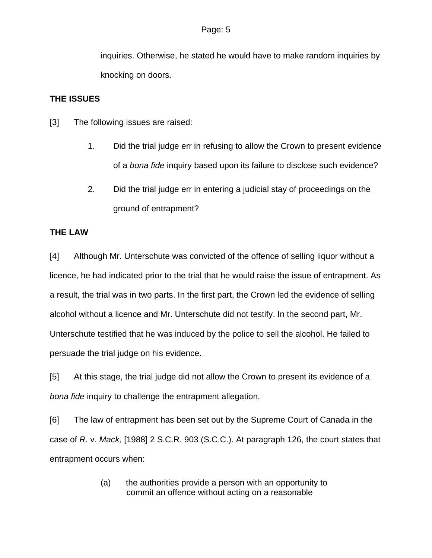inquiries. Otherwise, he stated he would have to make random inquiries by knocking on doors.

#### **THE ISSUES**

- [3] The following issues are raised:
	- 1. Did the trial judge err in refusing to allow the Crown to present evidence of a *bona fide* inquiry based upon its failure to disclose such evidence?
	- 2. Did the trial judge err in entering a judicial stay of proceedings on the ground of entrapment?

### **THE LAW**

[4] Although Mr. Unterschute was convicted of the offence of selling liquor without a licence, he had indicated prior to the trial that he would raise the issue of entrapment. As a result, the trial was in two parts. In the first part, the Crown led the evidence of selling alcohol without a licence and Mr. Unterschute did not testify. In the second part, Mr. Unterschute testified that he was induced by the police to sell the alcohol. He failed to persuade the trial judge on his evidence.

[5] At this stage, the trial judge did not allow the Crown to present its evidence of a *bona fide* inquiry to challenge the entrapment allegation.

[6] The law of entrapment has been set out by the Supreme Court of Canada in the case of *R.* v. *Mack,* [1988] 2 S.C.R. 903 (S.C.C.). At paragraph 126, the court states that entrapment occurs when:

> (a) the authorities provide a person with an opportunity to commit an offence without acting on a reasonable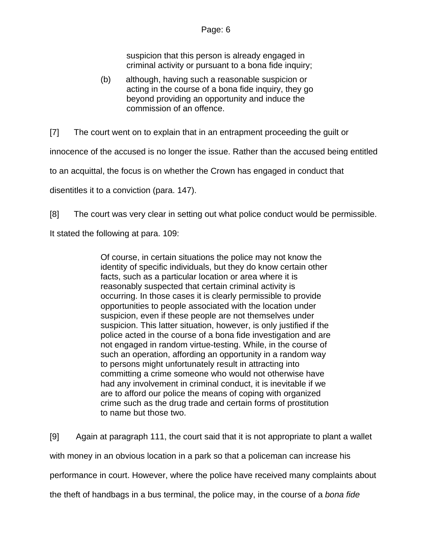suspicion that this person is already engaged in criminal activity or pursuant to a bona fide inquiry;

(b) although, having such a reasonable suspicion or acting in the course of a bona fide inquiry, they go beyond providing an opportunity and induce the commission of an offence.

[7] The court went on to explain that in an entrapment proceeding the guilt or

innocence of the accused is no longer the issue. Rather than the accused being entitled

to an acquittal, the focus is on whether the Crown has engaged in conduct that

disentitles it to a conviction (para. 147).

[8] The court was very clear in setting out what police conduct would be permissible.

It stated the following at para. 109:

Of course, in certain situations the police may not know the identity of specific individuals, but they do know certain other facts, such as a particular location or area where it is reasonably suspected that certain criminal activity is occurring. In those cases it is clearly permissible to provide opportunities to people associated with the location under suspicion, even if these people are not themselves under suspicion. This latter situation, however, is only justified if the police acted in the course of a bona fide investigation and are not engaged in random virtue-testing. While, in the course of such an operation, affording an opportunity in a random way to persons might unfortunately result in attracting into committing a crime someone who would not otherwise have had any involvement in criminal conduct, it is inevitable if we are to afford our police the means of coping with organized crime such as the drug trade and certain forms of prostitution to name but those two.

[9] Again at paragraph 111, the court said that it is not appropriate to plant a wallet with money in an obvious location in a park so that a policeman can increase his performance in court. However, where the police have received many complaints about the theft of handbags in a bus terminal, the police may, in the course of a *bona fide*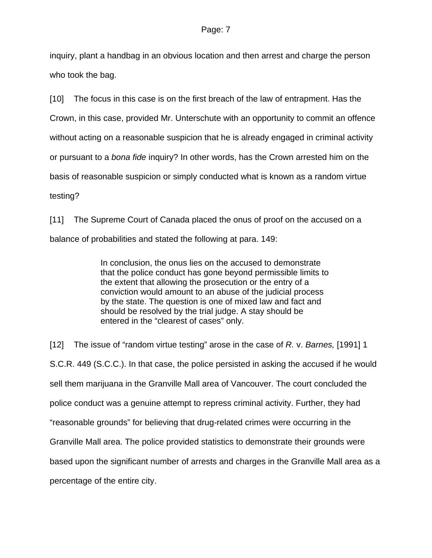inquiry, plant a handbag in an obvious location and then arrest and charge the person who took the bag.

[10] The focus in this case is on the first breach of the law of entrapment. Has the Crown, in this case, provided Mr. Unterschute with an opportunity to commit an offence without acting on a reasonable suspicion that he is already engaged in criminal activity or pursuant to a *bona fide* inquiry? In other words, has the Crown arrested him on the basis of reasonable suspicion or simply conducted what is known as a random virtue testing?

[11] The Supreme Court of Canada placed the onus of proof on the accused on a balance of probabilities and stated the following at para. 149:

> In conclusion, the onus lies on the accused to demonstrate that the police conduct has gone beyond permissible limits to the extent that allowing the prosecution or the entry of a conviction would amount to an abuse of the judicial process by the state. The question is one of mixed law and fact and should be resolved by the trial judge. A stay should be entered in the "clearest of cases" only.

[12] The issue of "random virtue testing" arose in the case of *R.* v. *Barnes,* [1991] 1 S.C.R. 449 (S.C.C.). In that case, the police persisted in asking the accused if he would sell them marijuana in the Granville Mall area of Vancouver. The court concluded the police conduct was a genuine attempt to repress criminal activity. Further, they had "reasonable grounds" for believing that drug-related crimes were occurring in the Granville Mall area. The police provided statistics to demonstrate their grounds were based upon the significant number of arrests and charges in the Granville Mall area as a percentage of the entire city.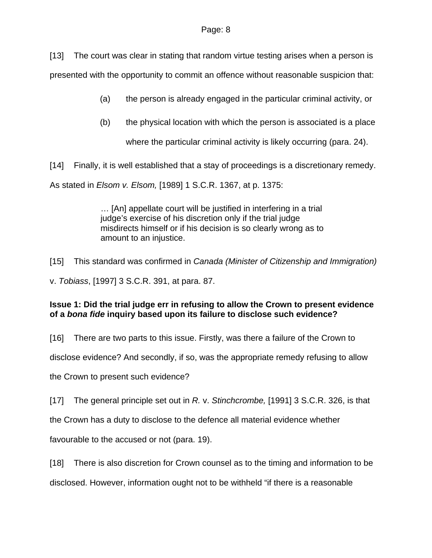[13] The court was clear in stating that random virtue testing arises when a person is

presented with the opportunity to commit an offence without reasonable suspicion that:

(a) the person is already engaged in the particular criminal activity, or

(b) the physical location with which the person is associated is a place

where the particular criminal activity is likely occurring (para. 24).

[14] Finally, it is well established that a stay of proceedings is a discretionary remedy.

As stated in *Elsom v. Elsom,* [1989] 1 S.C.R. 1367, at p. 1375:

… [An] appellate court will be justified in interfering in a trial judge's exercise of his discretion only if the trial judge misdirects himself or if his decision is so clearly wrong as to amount to an injustice.

[15] This standard was confirmed in *Canada (Minister of Citizenship and Immigration)* 

v. *Tobiass*, [1997] 3 S.C.R. 391, at para. 87.

### **Issue 1: Did the trial judge err in refusing to allow the Crown to present evidence of a** *bona fide* **inquiry based upon its failure to disclose such evidence?**

[16] There are two parts to this issue. Firstly, was there a failure of the Crown to

disclose evidence? And secondly, if so, was the appropriate remedy refusing to allow

the Crown to present such evidence?

[17] The general principle set out in *R.* v. *Stinchcrombe,* [1991] 3 S.C.R. 326, is that

the Crown has a duty to disclose to the defence all material evidence whether

favourable to the accused or not (para. 19).

[18] There is also discretion for Crown counsel as to the timing and information to be

disclosed. However, information ought not to be withheld "if there is a reasonable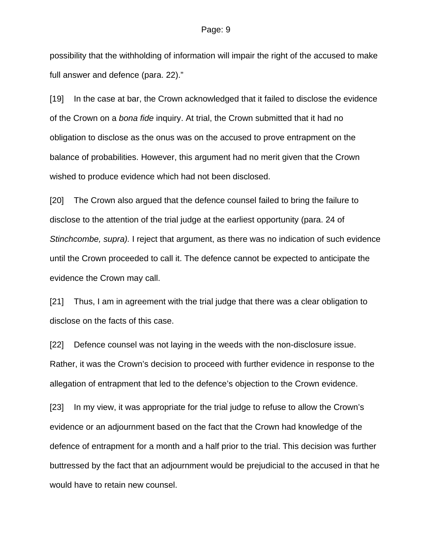possibility that the withholding of information will impair the right of the accused to make full answer and defence (para. 22)."

[19] In the case at bar, the Crown acknowledged that it failed to disclose the evidence of the Crown on a *bona fide* inquiry. At trial, the Crown submitted that it had no obligation to disclose as the onus was on the accused to prove entrapment on the balance of probabilities. However, this argument had no merit given that the Crown wished to produce evidence which had not been disclosed.

[20] The Crown also argued that the defence counsel failed to bring the failure to disclose to the attention of the trial judge at the earliest opportunity (para. 24 of *Stinchcombe, supra).* I reject that argument, as there was no indication of such evidence until the Crown proceeded to call it. The defence cannot be expected to anticipate the evidence the Crown may call.

[21] Thus, I am in agreement with the trial judge that there was a clear obligation to disclose on the facts of this case.

[22] Defence counsel was not laying in the weeds with the non-disclosure issue. Rather, it was the Crown's decision to proceed with further evidence in response to the allegation of entrapment that led to the defence's objection to the Crown evidence.

[23] In my view, it was appropriate for the trial judge to refuse to allow the Crown's evidence or an adjournment based on the fact that the Crown had knowledge of the defence of entrapment for a month and a half prior to the trial. This decision was further buttressed by the fact that an adjournment would be prejudicial to the accused in that he would have to retain new counsel.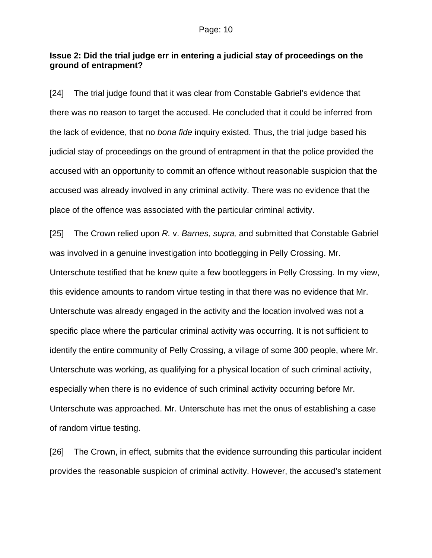#### **Issue 2: Did the trial judge err in entering a judicial stay of proceedings on the ground of entrapment?**

[24] The trial judge found that it was clear from Constable Gabriel's evidence that there was no reason to target the accused. He concluded that it could be inferred from the lack of evidence, that no *bona fide* inquiry existed. Thus, the trial judge based his judicial stay of proceedings on the ground of entrapment in that the police provided the accused with an opportunity to commit an offence without reasonable suspicion that the accused was already involved in any criminal activity. There was no evidence that the place of the offence was associated with the particular criminal activity.

[25] The Crown relied upon *R.* v. *Barnes, supra,* and submitted that Constable Gabriel was involved in a genuine investigation into bootlegging in Pelly Crossing. Mr. Unterschute testified that he knew quite a few bootleggers in Pelly Crossing. In my view, this evidence amounts to random virtue testing in that there was no evidence that Mr. Unterschute was already engaged in the activity and the location involved was not a specific place where the particular criminal activity was occurring. It is not sufficient to identify the entire community of Pelly Crossing, a village of some 300 people, where Mr. Unterschute was working, as qualifying for a physical location of such criminal activity, especially when there is no evidence of such criminal activity occurring before Mr. Unterschute was approached. Mr. Unterschute has met the onus of establishing a case of random virtue testing.

[26] The Crown, in effect, submits that the evidence surrounding this particular incident provides the reasonable suspicion of criminal activity. However, the accused's statement